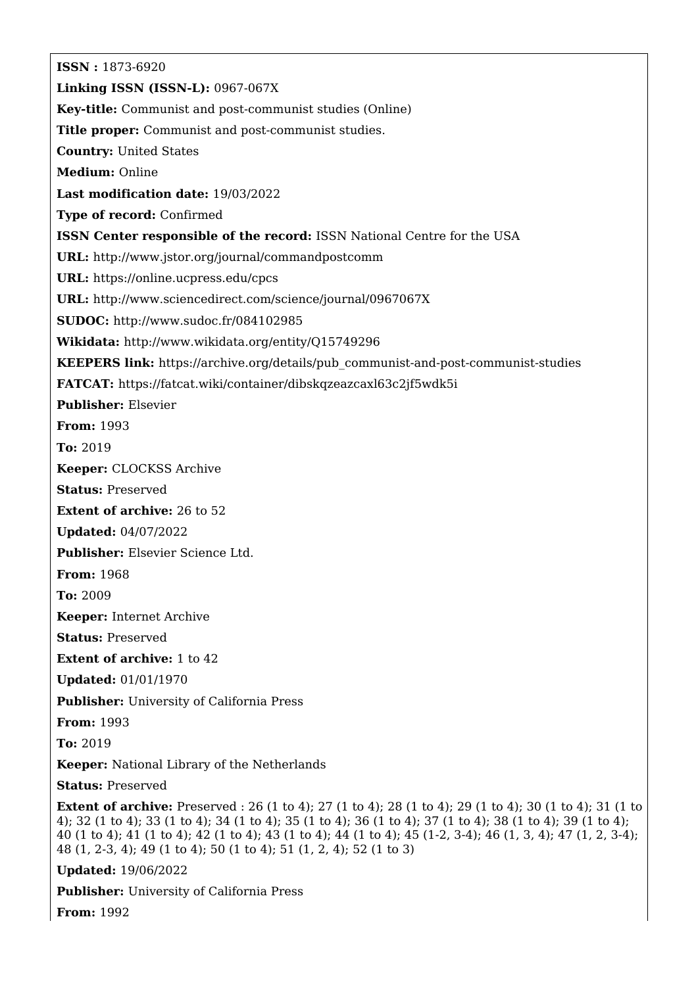**ISSN :** 1873-6920 **Linking ISSN (ISSN-L):** 0967-067X **Key-title:** Communist and post-communist studies (Online) **Title proper:** Communist and post-communist studies. **Country:** United States **Medium:** Online **Last modification date:** 19/03/2022 **Type of record:** Confirmed **ISSN Center responsible of the record:** ISSN National Centre for the USA **URL:** <http://www.jstor.org/journal/commandpostcomm> **URL:** <https://online.ucpress.edu/cpcs> **URL:** <http://www.sciencedirect.com/science/journal/0967067X> **SUDOC:** <http://www.sudoc.fr/084102985> **Wikidata:** <http://www.wikidata.org/entity/Q15749296> **KEEPERS link:** [https://archive.org/details/pub\\_communist-and-post-communist-studies](https://archive.org/details/pub_communist-and-post-communist-studies) **FATCAT:** <https://fatcat.wiki/container/dibskqzeazcaxl63c2jf5wdk5i> **Publisher:** Elsevier **From:** 1993 **To:** 2019 **Keeper:** CLOCKSS Archive **Status:** Preserved **Extent of archive:** 26 to 52 **Updated:** 04/07/2022 **Publisher:** Elsevier Science Ltd. **From:** 1968 **To:** 2009 **Keeper:** Internet Archive **Status:** Preserved **Extent of archive:** 1 to 42 **Updated:** 01/01/1970 **Publisher:** University of California Press **From:** 1993 **To:** 2019 **Keeper:** National Library of the Netherlands **Status:** Preserved **Extent of archive:** Preserved : 26 (1 to 4); 27 (1 to 4); 28 (1 to 4); 29 (1 to 4); 30 (1 to 4); 31 (1 to 4); 32 (1 to 4); 33 (1 to 4); 34 (1 to 4); 35 (1 to 4); 36 (1 to 4); 37 (1 to 4); 38 (1 to 4); 39 (1 to 4); 40 (1 to 4); 41 (1 to 4); 42 (1 to 4); 43 (1 to 4); 44 (1 to 4); 45 (1-2, 3-4); 46 (1, 3, 4); 47 (1, 2, 3-4); 48 (1, 2-3, 4); 49 (1 to 4); 50 (1 to 4); 51 (1, 2, 4); 52 (1 to 3) **Updated:** 19/06/2022

**Publisher:** University of California Press

**From:** 1992